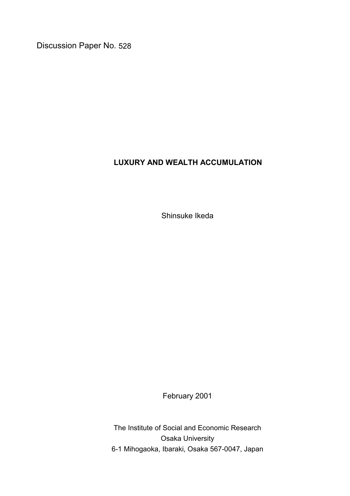Discussion Paper No. 528

# **LUXURY AND WEALTH ACCUMULATION**

Shinsuke Ikeda

February 2001

The Institute of Social and Economic Research Osaka University 6-1 Mihogaoka, Ibaraki, Osaka 567-0047, Japan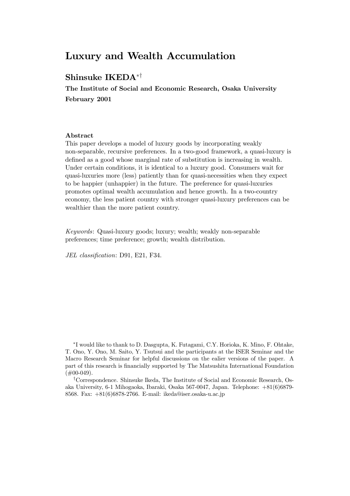# Luxury and Wealth Accumulation

## Shinsuke IKEDA<sup>\*†</sup>

The Institute of Social and Economic Research, Osaka University February 2001

#### Abstract

This paper develops a model of luxury goods by incorporating weakly non-separable, recursive preferences. In a two-good framework, a quasi-luxury is defined as a good whose marginal rate of substitution is increasing in wealth. Under certain conditions, it is identical to a luxury good. Consumers wait for quasi-luxuries more (less) patiently than for quasi-necessities when they expect to be happier (unhappier) in the future. The preference for quasi-luxuries promotes optimal wealth accumulation and hence growth. In a two-country economy, the less patient country with stronger quasi-luxury preferences can be wealthier than the more patient country.

Keywords: Quasi-luxury goods; luxury; wealth; weakly non-separable preferences; time preference; growth; wealth distribution.

JEL classification: D91, E21, F34.

¤I would like to thank to D. Dasgupta, K. Futagami, C.Y. Horioka, K. Mino, F. Ohtake, T. Ono, Y. Ono, M. Saito, Y. Tsutsui and the participants at the ISER Seminar and the Macro Research Seminar for helpful discussions on the ealier versions of the paper. A part of this research is financially supported by The Matsushita International Foundation  $(\#00-049).$ 

<sup>†</sup>Correspondence. Shinsuke Ikeda, The Institute of Social and Economic Research, Osaka University, 6-1 Mihogaoka, Ibaraki, Osaka 567-0047, Japan. Telephone: +81(6)6879- 8568. Fax: +81(6)6878-2766. E-mail: ikeda@iser.osaka-u.ac.jp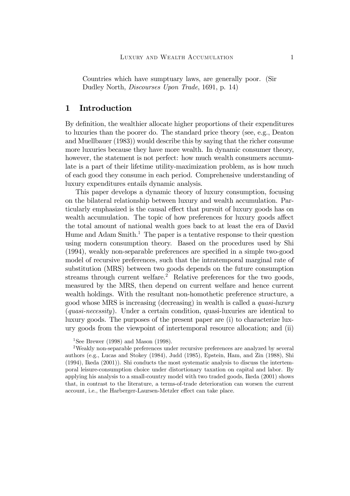Countries which have sumptuary laws, are generally poor. (Sir Dudley North, Discourses Upon Trade, 1691, p. 14)

### 1 Introduction

By definition, the wealthier allocate higher proportions of their expenditures to luxuries than the poorer do. The standard price theory (see, e.g., Deaton and Muellbauer (1983)) would describe this by saying that the richer consume more luxuries because they have more wealth. In dynamic consumer theory, however, the statement is not perfect: how much wealth consumers accumulate is a part of their lifetime utility-maximization problem, as is how much of each good they consume in each period. Comprehensive understanding of luxury expenditures entails dynamic analysis.

This paper develops a dynamic theory of luxury consumption, focusing on the bilateral relationship between luxury and wealth accumulation. Particularly emphasized is the causal effect that pursuit of luxury goods has on wealth accumulation. The topic of how preferences for luxury goods affect the total amount of national wealth goes back to at least the era of David Hume and Adam  $Smith<sup>1</sup>$ . The paper is a tentative response to their question using modern consumption theory. Based on the procedures used by Shi  $(1994)$ , weakly non-separable preferences are specified in a simple two-good model of recursive preferences, such that the intratemporal marginal rate of substitution (MRS) between two goods depends on the future consumption streams through current welfare.<sup>2</sup> Relative preferences for the two goods, measured by the MRS, then depend on current welfare and hence current wealth holdings. With the resultant non-homothetic preference structure, a good whose MRS is increasing (decreasing) in wealth is called a quasi-luxury (quasi-necessity). Under a certain condition, quasi-luxuries are identical to luxury goods. The purposes of the present paper are (i) to characterize luxury goods from the viewpoint of intertemporal resource allocation; and (ii)

<sup>1</sup>See Brewer (1998) and Mason (1998).

<sup>2</sup>Weakly non-separable preferences under recursive preferences are analyzed by several authors (e.g., Lucas and Stokey (1984), Judd (1985), Epstein, Ham, and Zin (1988), Shi (1994), Ikeda (2001)). Shi conducts the most systematic analysis to discuss the intertemporal leisure-consumption choice under distortionary taxation on capital and labor. By applying his analysis to a small-country model with two traded goods, Ikeda (2001) shows that, in contrast to the literature, a terms-of-trade deterioration can worsen the current account, i.e., the Harberger-Laursen-Metzler effect can take place.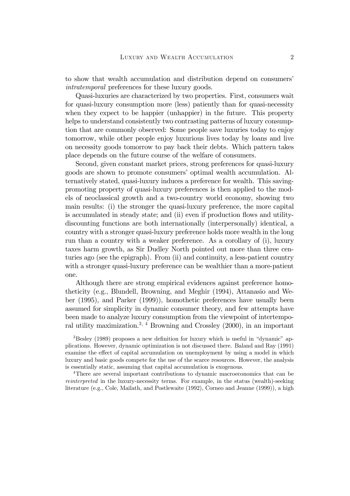to show that wealth accumulation and distribution depend on consumers' intratemporal preferences for these luxury goods.

Quasi-luxuries are characterized by two properties. First, consumers wait for quasi-luxury consumption more (less) patiently than for quasi-necessity when they expect to be happier (unhappier) in the future. This property helps to understand consistently two contrasting patterns of luxury consumption that are commonly observed: Some people save luxuries today to enjoy tomorrow, while other people enjoy luxurious lives today by loans and live on necessity goods tomorrow to pay back their debts. Which pattern takes place depends on the future course of the welfare of consumers.

Second, given constant market prices, strong preferences for quasi-luxury goods are shown to promote consumers' optimal wealth accumulation. Alternatively stated, quasi-luxury induces a preference for wealth. This savingpromoting property of quasi-luxury preferences is then applied to the models of neoclassical growth and a two-country world economy, showing two main results: (i) the stronger the quasi-luxury preference, the more capital is accumulated in steady state; and (ii) even if production flows and utilitydiscounting functions are both internationally (interpersonally) identical, a country with a stronger quasi-luxury preference holds more wealth in the long run than a country with a weaker preference. As a corollary of (i), luxury taxes harm growth, as Sir Dudley North pointed out more than three centuries ago (see the epigraph). From (ii) and continuity, a less-patient country with a stronger quasi-luxury preference can be wealthier than a more-patient one.

Although there are strong empirical evidences against preference homotheticity (e.g., Blundell, Browning, and Meghir (1994), Attanasio and Weber (1995), and Parker (1999)), homothetic preferences have usually been assumed for simplicity in dynamic consumer theory, and few attempts have been made to analyze luxury consumption from the viewpoint of intertemporal utility maximization.<sup>3, 4</sup> Browning and Crossley  $(2000)$ , in an important

 $3$ Besley (1989) proposes a new definition for luxury which is useful in "dynamic" applications. However, dynamic optimization is not discussed there. Baland and Ray (1991) examine the effect of capital accumulation on unemployment by using a model in which luxury and basic goods compete for the use of the scarce resources. However, the analysis is essentially static, assuming that capital accumulation is exogenous.

4There are several important contributions to dynamic macroeconomics that can be reinterpreted in the luxury-necessity terms. For example, in the status (wealth)-seeking literature (e.g., Cole, Mailath, and Postlewaite (1992), Corneo and Jeanne (1999)), a high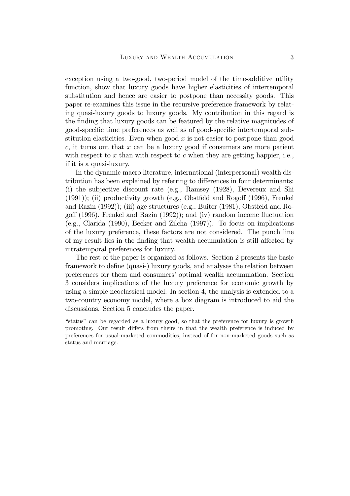exception using a two-good, two-period model of the time-additive utility function, show that luxury goods have higher elasticities of intertemporal substitution and hence are easier to postpone than necessity goods. This paper re-examines this issue in the recursive preference framework by relating quasi-luxury goods to luxury goods. My contribution in this regard is the finding that luxury goods can be featured by the relative magnitudes of good-specific time preferences as well as of good-specific intertemporal substitution elasticities. Even when good  $x$  is not easier to postpone than good  $c$ , it turns out that  $x$  can be a luxury good if consumers are more patient with respect to  $x$  than with respect to  $c$  when they are getting happier, i.e., if it is a quasi-luxury.

In the dynamic macro literature, international (interpersonal) wealth distribution has been explained by referring to differences in four determinants: (i) the subjective discount rate (e.g., Ramsey (1928), Devereux and Shi  $(1991)$ ; (ii) productivity growth (e.g., Obstfeld and Rogoff  $(1996)$ , Frenkel and Razin (1992)); (iii) age structures (e.g., Buiter (1981), Obstfeld and Rogoff  $(1996)$ , Frenkel and Razin  $(1992)$ ; and  $(iv)$  random income fluctuation (e.g., Clarida (1990), Becker and Zilcha (1997)). To focus on implications of the luxury preference, these factors are not considered. The punch line of my result lies in the finding that wealth accumulation is still affected by intratemporal preferences for luxury.

The rest of the paper is organized as follows. Section 2 presents the basic framework to define (quasi-) luxury goods, and analyses the relation between preferences for them and consumers' optimal wealth accumulation. Section 3 considers implications of the luxury preference for economic growth by using a simple neoclassical model. In section 4, the analysis is extended to a two-country economy model, where a box diagram is introduced to aid the discussions. Section 5 concludes the paper.

"status" can be regarded as a luxury good, so that the preference for luxury is growth promoting. Our result differs from theirs in that the wealth preference is induced by preferences for usual-marketed commodities, instead of for non-marketed goods such as status and marriage.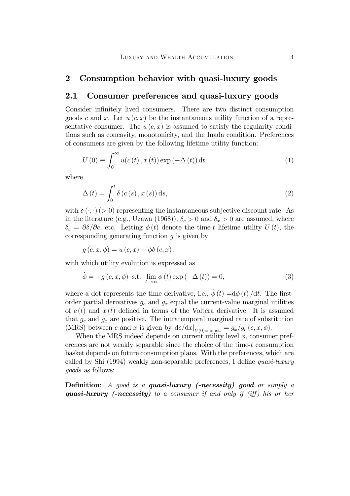#### 2 Consumption behavior with quasi-luxury goods

#### 2.1 Consumer preferences and quasi-luxury goods

Consider infinitely lived consumers. There are two distinct consumption goods c and x. Let  $u(c, x)$  be the instantaneous utility function of a representative consumer. The  $u(c, x)$  is assumed to satisfy the regularity conditions such as concavity, monotonicity, and the Inada condition. Preferences of consumers are given by the following lifetime utility function:

$$
U(0) \equiv \int_0^\infty u(c(t), x(t)) \exp(-\Delta(t)) dt,
$$
\n(1)

where

$$
\Delta(t) = \int_0^t \delta(c(s), x(s)) ds,
$$
\n(2)

with  $\delta(\cdot, \cdot)$  (> 0) representing the instantaneous subjective discount rate. As in the literature (e.g., Uzawa (1968)),  $\delta_c > 0$  and  $\delta_x > 0$  are assumed, where  $\delta_c = \partial \delta / \partial c$ , etc. Letting  $\phi(t)$  denote the time-t lifetime utility  $U(t)$ , the corresponding generating function  $q$  is given by

 $g(c, x, \phi) = u(c, x) - \phi \delta(c, x)$ 

with which utility evolution is expressed as

$$
\dot{\phi} = -g(c, x, \phi) \text{ s.t. } \lim_{t \to \infty} \phi(t) \exp(-\Delta(t)) = 0,
$$
\n(3)

where a dot represents the time derivative, i.e.,  $\dot{\phi}(t) = d\phi(t)/dt$ . The firstorder partial derivatives  $g_c$  and  $g_x$  equal the current-value marginal utilities of  $c(t)$  and  $x(t)$  defined in terms of the Voltera derivative. It is assumed that  $g_c$  and  $g_x$  are positive. The intratemporal marginal rate of substitution (MRS) between c and x is given by  $\frac{dc}{dx}|_{U(0)=\text{const.}} = g_x/g_c(c, x, \phi)$ .

When the MRS indeed depends on current utility level  $\phi$ , consumer preferences are not weakly separable since the choice of the time-t consumption basket depends on future consumption plans. With the preferences, which are called by Shi  $(1994)$  weakly non-separable preferences, I define *quasi-luxury* goods as follows:

**Definition:** A good is a **quasi-luxury (-necessity)** good or simply a quasi-luxury (-necessity) to a consumer if and only if (iff) his or her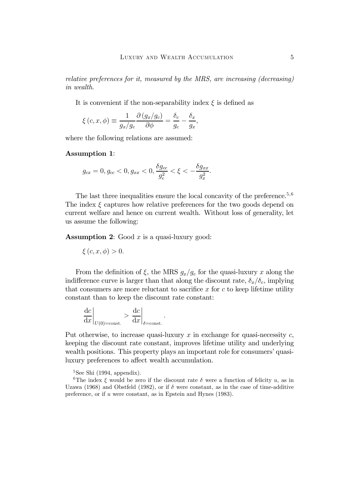relative preferences for it, measured by the MRS, are increasing (decreasing) in wealth.

It is convenient if the non-separability index  $\xi$  is defined as

$$
\xi(c, x, \phi) \equiv \frac{1}{g_x/g_c} \frac{\partial (g_x/g_c)}{\partial \phi} = \frac{\delta_c}{g_c} - \frac{\delta_x}{g_x},
$$

where the following relations are assumed:

#### Assumption 1:

$$
g_{cx} = 0, g_{cc} < 0, g_{xx} < 0, \frac{\delta g_{cc}}{g_c^2} < \xi < -\frac{\delta g_{xx}}{g_x^2}.
$$

The last three inequalities ensure the local concavity of the preference.<sup>5,6</sup> The index  $\xi$  captures how relative preferences for the two goods depend on current welfare and hence on current wealth. Without loss of generality, let us assume the following:

**Assumption 2:** Good  $x$  is a quasi-luxury good:

$$
\xi(c, x, \phi) > 0.
$$

From the definition of  $\xi$ , the MRS  $g_x/g_c$  for the quasi-luxury x along the indifference curve is larger than that along the discount rate,  $\delta_x/\delta_c$ , implying that consumers are more reluctant to sacrifice x for  $c$  to keep lifetime utility constant than to keep the discount rate constant:

:

$$
\left. \frac{\mathrm{d}c}{\mathrm{d}x} \right|_{U(0) = \mathrm{const.}} > \left. \frac{\mathrm{d}c}{\mathrm{d}x} \right|_{\delta = \mathrm{const.}}
$$

Put otherwise, to increase quasi-luxury  $x$  in exchange for quasi-necessity  $c$ , keeping the discount rate constant, improves lifetime utility and underlying wealth positions. This property plays an important role for consumers' quasiluxury preferences to affect wealth accumulation.

 $5$ See Shi (1994, appendix).

<sup>6</sup>The index  $\xi$  would be zero if the discount rate  $\delta$  were a function of felicity u, as in Uzawa (1968) and Obstfeld (1982), or if  $\delta$  were constant, as in the case of time-additive preference, or if u were constant, as in Epstein and Hynes (1983).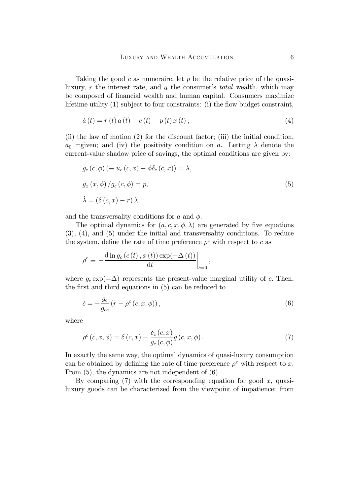Taking the good c as numeraire, let p be the relative price of the quasiluxury,  $r$  the interest rate, and  $a$  the consumer's total wealth, which may be composed of financial wealth and human capital. Consumers maximize lifetime utility  $(1)$  subject to four constraints:  $(i)$  the flow budget constraint,

$$
\dot{a}(t) = r(t) a(t) - c(t) - p(t) x(t); \tag{4}
$$

(ii) the law of motion (2) for the discount factor; (iii) the initial condition,  $a_0$  =given; and (iv) the positivity condition on a. Letting  $\lambda$  denote the current-value shadow price of savings, the optimal conditions are given by:

$$
g_c(c, \phi) \equiv u_c(c, x) - \phi \delta_c(c, x) = \lambda,
$$
  
\n
$$
g_x(x, \phi) / g_c(c, \phi) = p,
$$
  
\n
$$
\dot{\lambda} = (\delta(c, x) - r) \lambda,
$$
\n(5)

and the transversality conditions for  $a$  and  $\phi$ .

The optimal dynamics for  $(a, c, x, \phi, \lambda)$  are generated by five equations (3), (4), and (5) under the initial and transversality conditions. To reduce the system, define the rate of time preference  $\rho^c$  with respect to c as

$$
\rho^{c} \equiv -\frac{\mathrm{d}\ln g_{c}\left(c\left(t\right),\phi\left(t\right)\right)\exp(-\Delta\left(t\right))}{\mathrm{d}t}\bigg|_{\dot{c}=0},\,
$$

where  $g_c \exp(-\Delta)$  represents the present-value marginal utility of c. Then, the first and third equations in  $(5)$  can be reduced to

$$
\dot{c} = -\frac{g_c}{g_{cc}} \left( r - \rho^c \left( c, x, \phi \right) \right),\tag{6}
$$

where

$$
\rho^{c}(c,x,\phi) = \delta(c,x) - \frac{\delta_{c}(c,x)}{g_{c}(c,\phi)}g(c,x,\phi). \tag{7}
$$

In exactly the same way, the optimal dynamics of quasi-luxury consumption can be obtained by defining the rate of time preference  $\rho^x$  with respect to x. From (5), the dynamics are not independent of (6).

By comparing  $(7)$  with the corresponding equation for good x, quasiluxury goods can be characterized from the viewpoint of impatience: from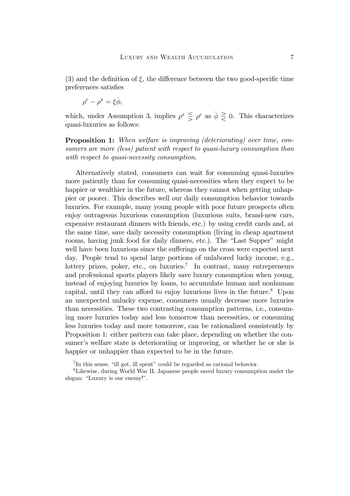(3) and the definition of  $\xi$ , the difference between the two good-specific time preferences satisfies

$$
\rho^c - \rho^x = \xi \dot{\phi},
$$

which, under Assumption 3, implies  $\rho^x \leq \rho^c$  as  $\phi \geq 0$ . This characterizes quasi-luxuries as follows:

Proposition 1: When welfare is improving (deteriorating) over time, consumers are more (less) patient with respect to quasi-luxury consumption than with respect to quasi-necessity consumption.

Alternatively stated, consumers can wait for consuming quasi-luxuries more patiently than for consuming quasi-necessities when they expect to be happier or wealthier in the future, whereas they cannot when getting unhappier or poorer. This describes well our daily consumption behavior towards luxuries. For example, many young people with poor future prospects often enjoy outrageous luxurious consumption (luxurious suits, brand-new cars, expensive restaurant dinners with friends, etc.) by using credit cards and, at the same time, save daily necessity consumption (living in cheap apartment rooms, having junk food for daily dinners, etc.). The "Last Supper" might well have been luxurious since the sufferings on the cross were expected next day. People tend to spend large portions of unlabored lucky income, e.g., lottery prizes, poker, etc., on luxuries.<sup>7</sup> In contrast, many entrepreneurs and professional sports players likely save luxury consumption when young, instead of enjoying luxuries by loans, to accumulate human and nonhuman capital, until they can afford to enjoy luxurious lives in the future.<sup>8</sup> Upon an unexpected unlucky expense, consumers usually decrease more luxuries than necessities. These two contrasting consumption patterns, i.e., consuming more luxuries today and less tomorrow than necessities, or consuming less luxuries today and more tomorrow, can be rationalized consistently by Proposition 1: either pattern can take place, depending on whether the consumer's welfare state is deteriorating or improving, or whether he or she is happier or unhappier than expected to be in the future.

<sup>7</sup> In this sense, "ill got, ill spent" could be regarded as rational behavior.

<sup>8</sup>Likewise, during World War II, Japanese people saved luxury consumption under the slogan: "Luxury is our enemy!".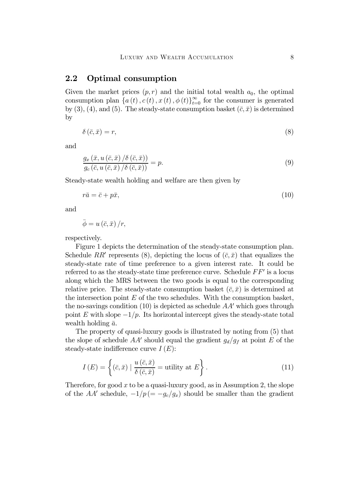#### 2.2 Optimal consumption

Given the market prices  $(p, r)$  and the initial total wealth  $a_0$ , the optimal consumption plan  $\{a(t), c(t), x(t), \phi(t)\}_{t=0}^{\infty}$  for the consumer is generated by (3), (4), and (5). The steady-state consumption basket  $(\bar{c}, \bar{x})$  is determined by

$$
\delta\left(\bar{c},\bar{x}\right)=r,\tag{8}
$$

and

$$
\frac{g_x\left(\bar{x},u\left(\bar{c},\bar{x}\right)/\delta\left(\bar{c},\bar{x}\right)\right)}{g_c\left(\bar{c},u\left(\bar{c},\bar{x}\right)/\delta\left(\bar{c},\bar{x}\right)\right)}=p.
$$
\n(9)

Steady-state wealth holding and welfare are then given by

$$
r\bar{a} = \bar{c} + p\bar{x},\tag{10}
$$

and

$$
\bar{\phi} = u\left(\bar{c}, \bar{x}\right)/r,
$$

respectively.

Figure 1 depicts the determination of the steady-state consumption plan. Schedule RR' represents (8), depicting the locus of  $(\bar{c}, \bar{x})$  that equalizes the steady-state rate of time preference to a given interest rate. It could be referred to as the steady-state time preference curve. Schedule  $FF'$  is a locus along which the MRS between the two goods is equal to the corresponding relative price. The steady-state consumption basket  $(\bar{c}, \bar{x})$  is determined at the intersection point  $E$  of the two schedules. With the consumption basket, the no-savings condition (10) is depicted as schedule  $AA'$  which goes through point E with slope  $-1/p$ . Its horizontal intercept gives the steady-state total wealth holding  $\bar{a}$ .

The property of quasi-luxury goods is illustrated by noting from (5) that the slope of schedule  $AA'$  should equal the gradient  $g_d/g_f$  at point E of the steady-state indifference curve  $I(E)$ :

$$
I(E) = \left\{ (\bar{c}, \bar{x}) \mid \frac{u(\bar{c}, \bar{x})}{\delta(\bar{c}, \bar{x})} = \text{utility at } E \right\}.
$$
 (11)

Therefore, for good x to be a quasi-luxury good, as in Assumption 2, the slope of the AA' schedule,  $-1/p (= -g_c/g_x)$  should be smaller than the gradient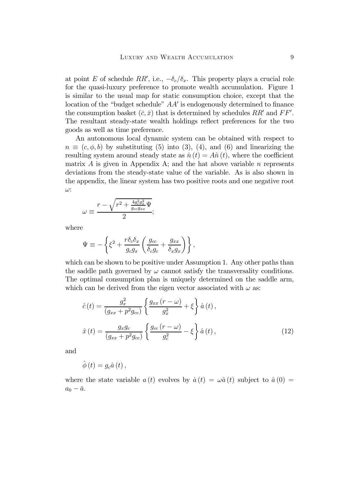at point E of schedule RR', i.e.,  $-\delta_c/\delta_x$ . This property plays a crucial role for the quasi-luxury preference to promote wealth accumulation. Figure 1 is similar to the usual map for static consumption choice, except that the location of the "budget schedule"  $AA'$  is endogenously determined to finance the consumption basket  $(\bar{c}, \bar{x})$  that is determined by schedules  $RR'$  and  $FF'$ . The resultant steady-state wealth holdings reflect preferences for the two goods as well as time preference.

An autonomous local dynamic system can be obtained with respect to  $n \equiv (c, \phi, b)$  by substituting (5) into (3), (4), and (6) and linearizing the resulting system around steady state as  $\dot{n}(t) = A\hat{n}(t)$ , where the coefficient matrix  $A$  is given in Appendix A; and the hat above variable  $n$  represents deviations from the steady-state value of the variable. As is also shown in the appendix, the linear system has two positive roots and one negative root  $\omega$ :

$$
\omega \equiv \frac{r - \sqrt{r^2 + \frac{4g_c^2 g_x^2}{g_{cc} g_{xx}} \Psi}}{2};
$$

where

$$
\Psi \equiv -\left\{\xi^2 + \frac{r\delta_c\delta_x}{g_cg_x}\left(\frac{g_{cc}}{\delta_cg_c} + \frac{g_{xx}}{\delta_xg_x}\right)\right\},\,
$$

which can be shown to be positive under Assumption 1. Any other paths than the saddle path governed by  $\omega$  cannot satisfy the transversality conditions. The optimal consumption plan is uniquely determined on the saddle arm, which can be derived from the eigen vector associated with  $\omega$  as:

$$
\hat{c}(t) = \frac{g_x^2}{(g_{xx} + p^2 g_{cc})} \left\{ \frac{g_{xx} (r - \omega)}{g_x^2} + \xi \right\} \hat{a}(t),
$$

$$
\hat{x}(t) = \frac{g_x g_c}{(g_{xx} + p^2 g_{cc})} \left\{ \frac{g_{cc} (r - \omega)}{g_c^2} - \xi \right\} \hat{a}(t),
$$
(12)

and

$$
\hat{\phi}\left( t\right) =g_{c}\hat{a}\left( t\right) ,
$$

where the state variable  $a(t)$  evolves by  $\dot{a}(t) = \omega \hat{a}(t)$  subject to  $\hat{a}(0) =$  $a_0 - \bar{a}.$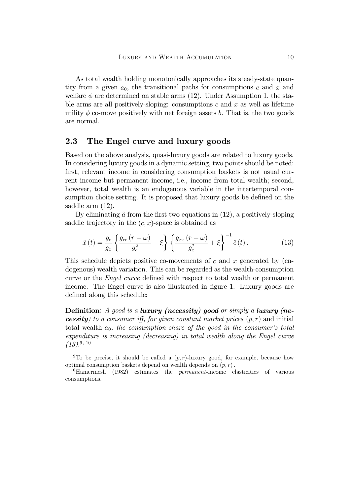As total wealth holding monotonically approaches its steady-state quantity from a given  $a_0$ , the transitional paths for consumptions c and x and welfare  $\phi$  are determined on stable arms (12). Under Assumption 1, the stable arms are all positively-sloping: consumptions  $c$  and  $x$  as well as lifetime utility  $\phi$  co-move positively with net foreign assets b. That is, the two goods are normal.

## 2.3 The Engel curve and luxury goods

Based on the above analysis, quasi-luxury goods are related to luxury goods. In considering luxury goods in a dynamic setting, two points should be noted: first, relevant income in considering consumption baskets is not usual current income but permanent income, i.e., income from total wealth; second, however, total wealth is an endogenous variable in the intertemporal consumption choice setting. It is proposed that luxury goods be defined on the saddle arm (12).

By eliminating  $\hat{a}$  from the first two equations in (12), a positively-sloping saddle trajectory in the  $(c, x)$ -space is obtained as

$$
\hat{x}(t) = \frac{g_c}{g_x} \left\{ \frac{g_{cc}(r-\omega)}{g_c^2} - \xi \right\} \left\{ \frac{g_{xx}(r-\omega)}{g_x^2} + \xi \right\}^{-1} \hat{c}(t). \tag{13}
$$

This schedule depicts positive co-movements of c and x generated by (endogenous) wealth variation. This can be regarded as the wealth-consumption curve or the *Engel curve* defined with respect to total wealth or permanent income. The Engel curve is also illustrated in figure 1. Luxury goods are defined along this schedule:

**Definition:** A good is a luxury (necessity) good or simply a luxury (ne**cessity**) to a consumer iff, for given constant market prices  $(p, r)$  and initial total wealth  $a_0$ , the consumption share of the good in the consumer's total expenditure is increasing (decreasing) in total wealth along the Engel curve  $(13).^{9, 10}$ 

<sup>9</sup>To be precise, it should be called a  $(p, r)$ -luxury good, for example, because how optimal consumption baskets depend on wealth depends on  $(p, r)$ .

<sup>10</sup>Hamermesh (1982) estimates the *permanent*-income elasticities of various consumptions.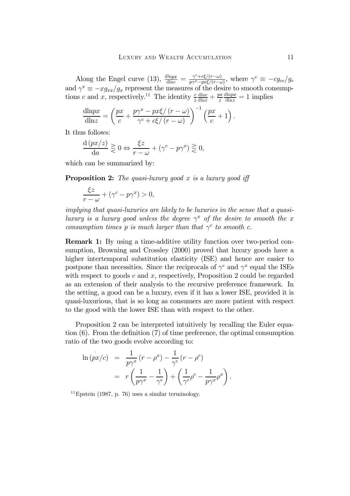Along the Engel curve (13),  $\frac{d\ln px}{d\ln c} = \frac{\gamma^c + c\xi/(r-\omega)}{p\gamma^x - px\xi/(r-\omega)},$  where  $\gamma^c \equiv -cg_{cc}/gc$ and  $\gamma^x \equiv -x g_{xx}/g_x$  represent the measures of the desire to smooth consumptions c and x, respectively.<sup>11</sup> The identity  $\frac{c}{z}$  $rac{\text{dln}c}{\text{dln}z} + \frac{px}{z}$  $\frac{\text{dln}px}{\text{dln}z} = 1$  implies

$$
\frac{\mathrm{d} \ln px}{\mathrm{d} \ln z} = \left(\frac{px}{c} + \frac{p\gamma^x - px\xi/(r-\omega)}{\gamma^c + c\xi/(r-\omega)}\right)^{-1} \left(\frac{px}{c} + 1\right).
$$

It thus follows:

$$
\frac{\mathrm{d}(px/z)}{\mathrm{d}a} \ge 0 \Leftrightarrow \frac{\xi z}{r - \omega} + (\gamma^c - p\gamma^x) \ge 0,
$$

which can be summarized by:

**Proposition 2:** The quasi-luxury good x is a luxury good iff

$$
\frac{\xi z}{r-\omega} + (\gamma^c - p\gamma^x) > 0,
$$

implying that quasi-luxuries are likely to be luxuries in the sense that a quasiluxury is a luxury good unless the degree  $\gamma^x$  of the desire to smooth the x consumption times p is much larger than that  $\gamma^c$  to smooth c.

Remark 1: By using a time-additive utility function over two-period consumption, Browning and Crossley (2000) proved that luxury goods have a higher intertemporal substitution elasticity (ISE) and hence are easier to postpone than necessities. Since the reciprocals of  $\gamma^c$  and  $\gamma^x$  equal the ISEs with respect to goods  $c$  and  $x$ , respectively, Proposition 2 could be regarded as an extension of their analysis to the recursive preference framework. In the setting, a good can be a luxury, even if it has a lower ISE, provided it is quasi-luxurious, that is so long as consumers are more patient with respect to the good with the lower ISE than with respect to the other.

Proposition 2 can be interpreted intuitively by recalling the Euler equation  $(6)$ . From the definition  $(7)$  of time preference, the optimal consumption ratio of the two goods evolve according to:

$$
\ln(px/c) = \frac{1}{p\gamma^x} (r - \rho^x) - \frac{1}{\gamma^c} (r - \rho^c) \n= r \left( \frac{1}{p\gamma^x} - \frac{1}{\gamma^c} \right) + \left( \frac{1}{\gamma^c} \rho^c - \frac{1}{p\gamma^x} \rho^x \right).
$$

 $11$ Epstein (1987, p. 76) uses a similar terminology.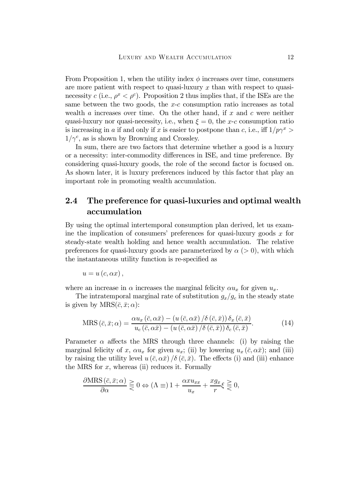From Proposition 1, when the utility index  $\phi$  increases over time, consumers are more patient with respect to quasi-luxury  $x$  than with respect to quasinecessity c (i.e.,  $\rho^x < \rho^c$ ). Proposition 2 thus implies that, if the ISEs are the same between the two goods, the  $x-c$  consumption ratio increases as total wealth a increases over time. On the other hand, if  $x$  and  $c$  were neither quasi-luxury nor quasi-necessity, i.e., when  $\xi = 0$ , the x-c consumption ratio is increasing in a if and only if x is easier to postpone than c, i.e., iff  $1/p\gamma^x$  $1/\gamma^c$ , as is shown by Browning and Crossley.

In sum, there are two factors that determine whether a good is a luxury or a necessity: inter-commodity differences in ISE, and time preference. By considering quasi-luxury goods, the role of the second factor is focused on. As shown later, it is luxury preferences induced by this factor that play an important role in promoting wealth accumulation.

## 2.4 The preference for quasi-luxuries and optimal wealth accumulation

By using the optimal intertemporal consumption plan derived, let us examine the implication of consumers' preferences for quasi-luxury goods  $x$  for steady-state wealth holding and hence wealth accumulation. The relative preferences for quasi-luxury goods are parameterized by  $\alpha$  ( $> 0$ ), with which the instantaneous utility function is re-specified as

$$
u=u\left( c,\alpha x\right) ,
$$

where an increase in  $\alpha$  increases the marginal felicity  $\alpha u_x$  for given  $u_x$ .

The intratemporal marginal rate of substitution  $g_x/g_c$  in the steady state is given by  $MRS(\bar{c}, \bar{x}; \alpha)$ :

$$
\text{MRS}(\bar{c}, \bar{x}; \alpha) = \frac{\alpha u_x(\bar{c}, \alpha \bar{x}) - (u(\bar{c}, \alpha \bar{x})/\delta(\bar{c}, \bar{x})) \delta_x(\bar{c}, \bar{x})}{u_c(\bar{c}, \alpha \bar{x}) - (u(\bar{c}, \alpha \bar{x})/\delta(\bar{c}, \bar{x})) \delta_c(\bar{c}, \bar{x})}.
$$
(14)

Parameter  $\alpha$  affects the MRS through three channels: (i) by raising the marginal felicity of x,  $\alpha u_x$  for given  $u_x$ ; (ii) by lowering  $u_x(\bar{c}, \alpha \bar{x})$ ; and (iii) by raising the utility level  $u(\bar{c}, \alpha \bar{x})/\delta(\bar{c}, \bar{x})$ . The effects (i) and (iii) enhance the MRS for  $x$ , whereas (ii) reduces it. Formally

$$
\frac{\partial \text{MRS}(\bar{c}, \bar{x}; \alpha)}{\partial \alpha} \geq 0 \Leftrightarrow (\Lambda \equiv) 1 + \frac{\alpha x u_{xx}}{u_x} + \frac{x g_x}{r} \xi \geq 0,
$$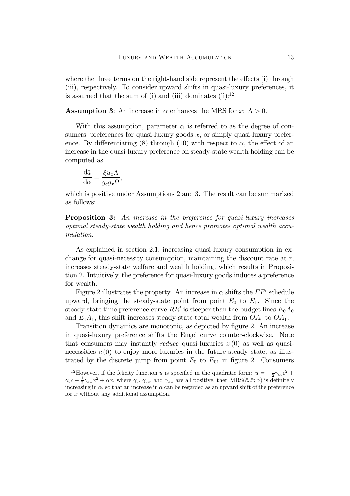where the three terms on the right-hand side represent the effects (i) through (iii), respectively. To consider upward shifts in quasi-luxury preferences, it is assumed that the sum of (i) and (iii) dominates (ii): $12$ 

**Assumption 3:** An increase in  $\alpha$  enhances the MRS for x:  $\Lambda > 0$ .

With this assumption, parameter  $\alpha$  is referred to as the degree of consumers' preferences for quasi-luxury goods  $x$ , or simply quasi-luxury preference. By differentiating (8) through (10) with respect to  $\alpha$ , the effect of an increase in the quasi-luxury preference on steady-state wealth holding can be computed as

$$
\frac{\mathrm{d}\bar{a}}{\mathrm{d}\alpha} = \frac{\xi u_x \Lambda}{g_c g_x \Psi},
$$

which is positive under Assumptions 2 and 3. The result can be summarized as follows:

**Proposition 3:** An increase in the preference for quasi-luxury increases optimal steady-state wealth holding and hence promotes optimal wealth accumulation.

As explained in section 2.1, increasing quasi-luxury consumption in exchange for quasi-necessity consumption, maintaining the discount rate at  $r$ , increases steady-state welfare and wealth holding, which results in Proposition 2. Intuitively, the preference for quasi-luxury goods induces a preference for wealth.

Figure 2 illustrates the property. An increase in  $\alpha$  shifts the FF' schedule upward, bringing the steady-state point from point  $E_0$  to  $E_1$ . Since the steady-state time preference curve RR' is steeper than the budget lines  $E_0A_0$ and  $E_1A_1$ , this shift increases steady-state total wealth from  $OA_0$  to  $OA_1$ .

Transition dynamics are monotonic, as depicted by figure 2. An increase in quasi-luxury preference shifts the Engel curve counter-clockwise. Note that consumers may instantly *reduce* quasi-luxuries  $x(0)$  as well as quasinecessities  $c(0)$  to enjoy more luxuries in the future steady state, as illustrated by the discrete jump from point  $E_0$  to  $E_{01}$  in figure 2. Consumers

<sup>12</sup>However, if the felicity function u is specified in the quadratic form:  $u = -\frac{1}{2}\gamma_{cc}c^2 +$  $\gamma_c c - \frac{1}{2} \gamma_{xx} x^2 + \alpha x$ , where  $\gamma_c$ ,  $\gamma_{cc}$ , and  $\gamma_{xx}$  are all positive, then  $MRS(\bar{c}, \bar{x}; \alpha)$  is definitely increasing in  $\alpha$ , so that an increase in  $\alpha$  can be regarded as an upward shift of the preference for x without any additional assumption.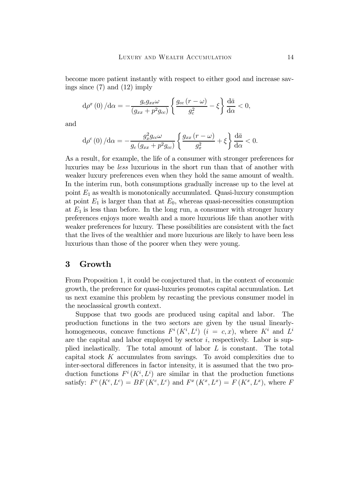become more patient instantly with respect to either good and increase savings since (7) and (12) imply

$$
\mathrm{d}\rho^x\left(0\right)/\mathrm{d}\alpha = -\frac{g_c g_{xx}\omega}{\left(g_{xx} + p^2 g_{cc}\right)} \left\{ \frac{g_{cc}\left(r - \omega\right)}{g_c^2} - \xi \right\} \frac{\mathrm{d}\bar{a}}{\mathrm{d}\alpha} < 0,
$$

and

$$
\mathrm{d}\rho^{c}\left(0\right)/\mathrm{d}\alpha=-\frac{g_{x}^{2}g_{cc}\omega}{g_{c}\left(g_{xx}+p^{2}g_{cc}\right)}\left\{ \frac{g_{xx}\left(r-\omega\right)}{g_{x}^{2}}+\xi\right\} \frac{\mathrm{d}\bar{a}}{\mathrm{d}\alpha}<0.
$$

As a result, for example, the life of a consumer with stronger preferences for luxuries may be less luxurious in the short run than that of another with weaker luxury preferences even when they hold the same amount of wealth. In the interim run, both consumptions gradually increase up to the level at point  $E_1$  as wealth is monotonically accumulated. Quasi-luxury consumption at point  $E_1$  is larger than that at  $E_0$ , whereas quasi-necessities consumption at  $E_1$  is less than before. In the long run, a consumer with stronger luxury preferences enjoys more wealth and a more luxurious life than another with weaker preferences for luxury. These possibilities are consistent with the fact that the lives of the wealthier and more luxurious are likely to have been less luxurious than those of the poorer when they were young.

### 3 Growth

From Proposition 1, it could be conjectured that, in the context of economic growth, the preference for quasi-luxuries promotes capital accumulation. Let us next examine this problem by recasting the previous consumer model in the neoclassical growth context.

Suppose that two goods are produced using capital and labor. The production functions in the two sectors are given by the usual linearlyhomogeneous, concave functions  $F^i(K^i, L^i)$   $(i = c, x)$ , where  $K^i$  and  $L^i$ are the capital and labor employed by sector  $i$ , respectively. Labor is supplied inelastically. The total amount of labor L is constant. The total capital stock  $K$  accumulates from savings. To avoid complexities due to inter-sectoral differences in factor intensity, it is assumed that the two production functions  $F^i(K^i, L^i)$  are similar in that the production functions satisfy:  $F^c(K^c, L^c) = BF(K^c, L^c)$  and  $F^x(K^x, L^x) = F(K^x, L^x)$ , where F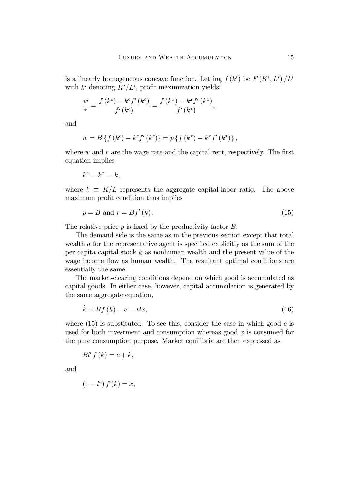is a linearly homogeneous concave function. Letting  $f(k^i)$  be  $F(K^i, L^i)/L^i$ with  $k^i$  denoting  $K^i/L^i$ , profit maximization yields:

$$
\frac{w}{r} = \frac{f(k^{c}) - k^{c} f'(k^{c})}{f'(k^{c})} = \frac{f(k^{x}) - k^{x} f'(k^{x})}{f'(k^{x})},
$$

and

$$
w = B\left\{f(k^{c}) - k^{c} f'(k^{c})\right\} = p\left\{f(k^{x}) - k^{x} f'(k^{x})\right\},\,
$$

where  $w$  and  $r$  are the wage rate and the capital rent, respectively. The first equation implies

$$
k^c = k^x = k,
$$

where  $k \equiv K/L$  represents the aggregate capital-labor ratio. The above maximum profit condition thus implies

$$
p = B \text{ and } r = Bf'(k). \tag{15}
$$

The relative price  $p$  is fixed by the productivity factor  $B$ .

The demand side is the same as in the previous section except that total wealth  $\alpha$  for the representative agent is specified explicitly as the sum of the per capital capital stock  $k$  as nonhuman wealth and the present value of the wage income flow as human wealth. The resultant optimal conditions are essentially the same.

The market-clearing conditions depend on which good is accumulated as capital goods. In either case, however, capital accumulation is generated by the same aggregate equation,

$$
k = Bf(k) - c - Bx,\tag{16}
$$

where  $(15)$  is substituted. To see this, consider the case in which good c is used for both investment and consumption whereas good  $x$  is consumed for the pure consumption purpose. Market equilibria are then expressed as

$$
Bl^{c}f(k) = c + \dot{k},
$$

and

$$
(1-l^c) f(k) = x,
$$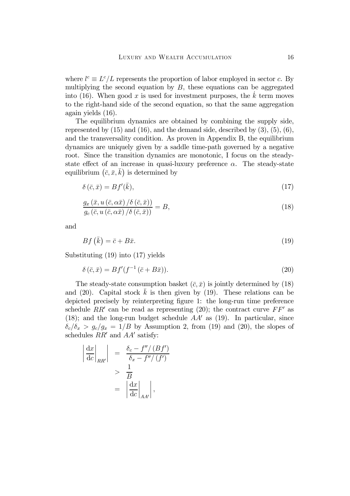where  $l^c \equiv L^c/L$  represents the proportion of labor employed in sector c. By multiplying the second equation by  $B$ , these equations can be aggregated into (16). When good x is used for investment purposes, the  $k$  term moves to the right-hand side of the second equation, so that the same aggregation again yields (16).

The equilibrium dynamics are obtained by combining the supply side, represented by  $(15)$  and  $(16)$ , and the demand side, described by  $(3)$ ,  $(5)$ ,  $(6)$ , and the transversality condition. As proven in Appendix B, the equilibrium dynamics are uniquely given by a saddle time-path governed by a negative root. Since the transition dynamics are monotonic, I focus on the steadystate effect of an increase in quasi-luxury preference  $\alpha$ . The steady-state equilibrium  $(\bar{c}, \bar{x}, \bar{k})$  is determined by

$$
\delta\left(\bar{c},\bar{x}\right) = Bf'(\bar{k}),\tag{17}
$$

$$
\frac{g_x(\bar{x}, u(\bar{c}, \alpha \bar{x})/\delta(\bar{c}, \bar{x}))}{g_c(\bar{c}, u(\bar{c}, \alpha \bar{x})/\delta(\bar{c}, \bar{x}))} = B,
$$
\n(18)

and

$$
Bf(\bar{k}) = \bar{c} + B\bar{x}.\tag{19}
$$

Substituting (19) into (17) yields

$$
\delta\left(\bar{c},\bar{x}\right) = Bf'(f^{-1}\left(\bar{c} + B\bar{x}\right)).\tag{20}
$$

The steady-state consumption basket  $(\bar{c}, \bar{x})$  is jointly determined by (18) and (20). Capital stock  $\bar{k}$  is then given by (19). These relations can be depicted precisely by reinterpreting figure 1: the long-run time preference schedule RR' can be read as representing (20); the contract curve  $FF'$  as (18); and the long-run budget schedule  $AA'$  as (19). In particular, since  $\delta_c/\delta_x$  >  $g_c/g_x$  = 1/B by Assumption 2, from (19) and (20), the slopes of schedules  $RR'$  and  $AA'$  satisfy:

$$
\left| \frac{dx}{dc} \right|_{RR'} \left| = \frac{\delta_c - f''/(Bf')}{\delta_x - f''/(f')} \right|
$$
  
> 
$$
\frac{1}{B}
$$
  
= 
$$
\left| \frac{dx}{dc} \right|_{AA'} \left| , \right|
$$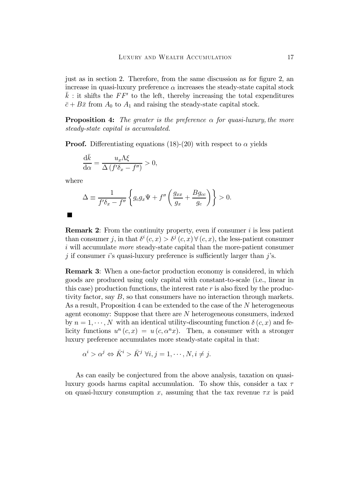just as in section 2. Therefore, from the same discussion as for figure 2, an increase in quasi-luxury preference  $\alpha$  increases the steady-state capital stock  $\bar{k}$ : it shifts the FF' to the left, thereby increasing the total expenditures  $\bar{c} + B\bar{x}$  from  $A_0$  to  $A_1$  and raising the steady-state capital stock.

**Proposition 4:** The greater is the preference  $\alpha$  for quasi-luxury, the more steady-state capital is accumulated.

**Proof.** Differentiating equations (18)-(20) with respect to  $\alpha$  yields

$$
\frac{\mathrm{d}\bar{k}}{\mathrm{d}\alpha} = \frac{u_x \Lambda \xi}{\Delta \left( f' \delta_x - f'' \right)} > 0,
$$

where

$$
\Delta \equiv \frac{1}{f'\delta_x - f''} \left\{ g_c g_x \Psi + f'' \left( \frac{g_{xx}}{g_x} + \frac{Bg_{cc}}{g_c} \right) \right\} > 0.
$$

 $\blacksquare$ 

**Remark 2:** From the continuity property, even if consumer  $i$  is less patient than consumer j, in that  $\delta^i(c, x) > \delta^j(c, x) \forall (c, x)$ , the less-patient consumer i will accumulate *more* steady-state capital than the more-patient consumer  $j$  if consumer i's quasi-luxury preference is sufficiently larger than j's.

Remark 3: When a one-factor production economy is considered, in which goods are produced using only capital with constant-to-scale (i.e., linear in this case) production functions, the interest rate  $r$  is also fixed by the productivity factor, say B, so that consumers have no interaction through markets. As a result, Proposition 4 can be extended to the case of the N heterogeneous agent economy: Suppose that there are N heterogeneous consumers, indexed by  $n = 1, \dots, N$  with an identical utility-discounting function  $\delta(c, x)$  and felicity functions  $u^n(c, x) = u(c, \alpha^n x)$ . Then, a consumer with a stronger luxury preference accumulates more steady-state capital in that:

$$
\alpha^i > \alpha^j \Leftrightarrow \bar{K}^i > \bar{K}^j \ \forall i, j = 1, \cdots, N, i \neq j.
$$

As can easily be conjectured from the above analysis, taxation on quasiluxury goods harms capital accumulation. To show this, consider a tax  $\tau$ on quasi-luxury consumption x, assuming that the tax revenue  $\tau x$  is paid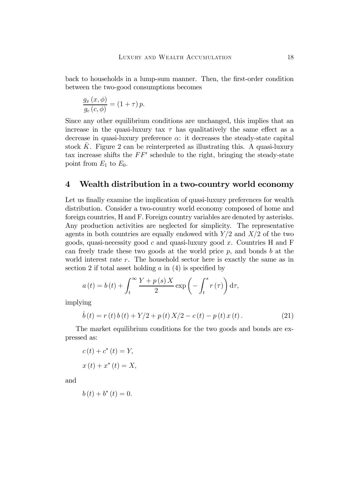back to households in a lump-sum manner. Then, the first-order condition between the two-good consumptions becomes

$$
\frac{g_x(x,\phi)}{g_c(c,\phi)} = (1+\tau)p.
$$

Since any other equilibrium conditions are unchanged, this implies that an increase in the quasi-luxury tax  $\tau$  has qualitatively the same effect as a decrease in quasi-luxury preference  $\alpha$ : it decreases the steady-state capital stock  $\bar{K}$ . Figure 2 can be reinterpreted as illustrating this. A quasi-luxury tax increase shifts the  $FF'$  schedule to the right, bringing the steady-state point from  $E_1$  to  $E_0$ .

#### 4 Wealth distribution in a two-country world economy

Let us finally examine the implication of quasi-luxury preferences for wealth distribution. Consider a two-country world economy composed of home and foreign countries, H and F. Foreign country variables are denoted by asterisks. Any production activities are neglected for simplicity. The representative agents in both countries are equally endowed with  $Y/2$  and  $X/2$  of the two goods, quasi-necessity good c and quasi-luxury good x. Countries H and F can freely trade these two goods at the world price  $p$ , and bonds  $b$  at the world interest rate  $r$ . The household sector here is exactly the same as in section 2 if total asset holding  $a$  in (4) is specified by

$$
a(t) = b(t) + \int_{t}^{\infty} \frac{Y + p(s)X}{2} \exp\left(-\int_{t}^{s} r(\tau)\right) d\tau,
$$

implying

$$
\dot{b}(t) = r(t)b(t) + Y/2 + p(t)X/2 - c(t) - p(t)x(t).
$$
 (21)

The market equilibrium conditions for the two goods and bonds are expressed as:

$$
c(t) + c^*(t) = Y,
$$
  

$$
x(t) + x^*(t) = X,
$$

and

$$
b(t) + b^*(t) = 0.
$$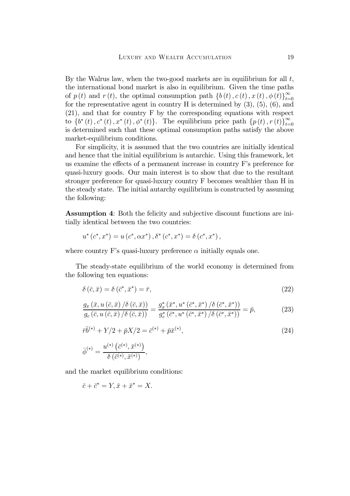By the Walrus law, when the two-good markets are in equilibrium for all  $t$ , the international bond market is also in equilibrium. Given the time paths of  $p(t)$  and  $r(t)$ , the optimal consumption path  $\{b(t), c(t), x(t), \phi(t)\}_{t=0}^{\infty}$ for the representative agent in country  $H$  is determined by  $(3)$ ,  $(5)$ ,  $(6)$ , and (21), and that for country F by the corresponding equations with respect to  $\{b^*(t), c^*(t), x^*(t), \phi^*(t)\}.$  The equilibrium price path  $\{p(t), r(t)\}_{t=0}^{\infty}$ is determined such that these optimal consumption paths satisfy the above market-equilibrium conditions.

For simplicity, it is assumed that the two countries are initially identical and hence that the initial equilibrium is autarchic. Using this framework, let us examine the effects of a permanent increase in country  $F$ 's preference for quasi-luxury goods. Our main interest is to show that due to the resultant stronger preference for quasi-luxury country F becomes wealthier than H in the steady state. The initial autarchy equilibrium is constructed by assuming the following:

Assumption 4: Both the felicity and subjective discount functions are initially identical between the two countries:

$$
u^*(c^*, x^*) = u(c^*, \alpha x^*), \delta^*(c^*, x^*) = \delta(c^*, x^*),
$$

where country F's quasi-luxury preference  $\alpha$  initially equals one.

The steady-state equilibrium of the world economy is determined from the following ten equations:

$$
\delta\left(\bar{c},\bar{x}\right) = \delta\left(\bar{c}^*,\bar{x}^*\right) = \bar{r},\tag{22}
$$

$$
\frac{g_x\left(\bar{x}, u\left(\bar{c}, \bar{x}\right) / \delta\left(\bar{c}, \bar{x}\right)\right)}{g_c\left(\bar{c}, u\left(\bar{c}, \bar{x}\right) / \delta\left(\bar{c}, \bar{x}\right)\right)} = \frac{g_x^*\left(\bar{x}^*, u^*\left(\bar{c}^*, \bar{x}^*\right) / \delta\left(\bar{c}^*, \bar{x}^*\right)\right)}{g_c^*\left(\bar{c}^*, u^*\left(\bar{c}^*, \bar{x}^*\right) / \delta\left(\bar{c}^*, \bar{x}^*\right)\right)} = \bar{p},\tag{23}
$$

$$
\bar{r}\bar{b}^{(*)} + Y/2 + \bar{p}X/2 = \bar{c}^{(*)} + \bar{p}\bar{x}^{(*)},
$$
\n
$$
\bar{\phi}^{(*)} = \frac{u^{(*)}(\bar{c}^{(*)}, \bar{x}^{(*)})}{\delta(\bar{c}^{(*)}, \bar{x}^{(*)})},
$$
\n(24)

and the market equilibrium conditions:

$$
\bar{c} + \bar{c}^* = Y, \bar{x} + \bar{x}^* = X.
$$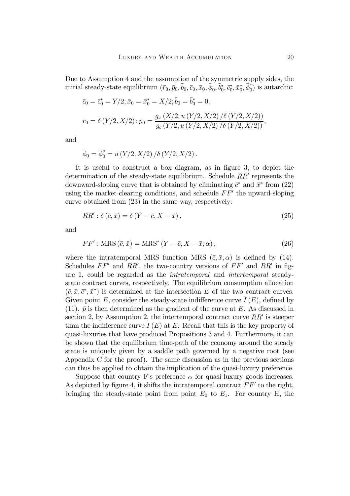Due to Assumption 4 and the assumption of the symmetric supply sides, the initial steady-state equilibrium  $(\bar{r}_0, \bar{p}_0, \bar{b}_0, \bar{c}_0, \bar{x}_0, \bar{\phi}_0, \bar{b}_0^*, \bar{c}_0^*, \bar{x}_0^*, \bar{\phi}_0^*)$  is autarchic:

$$
\bar{c}_0 = \bar{c}_0^* = Y/2; \bar{x}_0 = \bar{x}_0^* = X/2; \bar{b}_0 = \bar{b}_0^* = 0;
$$
  

$$
\bar{r}_0 = \delta(Y/2, X/2); \bar{p}_0 = \frac{g_x(X/2, u(Y/2, X/2)/\delta(Y/2, X/2))}{g_c(Y/2, u(Y/2, X/2)/\delta(Y/2, X/2))},
$$

and

$$
\bar{\phi}_0 = \bar{\phi}_0^* = u(Y/2, X/2) / \delta(Y/2, X/2).
$$

It is useful to construct a box diagram, as in figure  $3$ , to depict the determination of the steady-state equilibrium. Schedule  $RR'$  represents the downward-sloping curve that is obtained by eliminating  $\bar{c}^*$  and  $\bar{x}^*$  from (22) using the market-clearing conditions, and schedule  $FF'$  the upward-sloping curve obtained from (23) in the same way, respectively:

$$
RR': \delta\left(\bar{c}, \bar{x}\right) = \delta\left(Y - \bar{c}, X - \bar{x}\right),\tag{25}
$$

and

$$
FF':\text{MRS}(\bar{c},\bar{x})=\text{MRS}^*(Y-\bar{c},X-\bar{x};\alpha),\tag{26}
$$

where the intratemporal MRS function MRS  $(\bar{c}, \bar{x}; \alpha)$  is defined by (14). Schedules  $FF'$  and  $RR'$ , the two-country versions of  $FF'$  and  $RR'$  in figure 1, could be regarded as the intratemporal and intertemporal steadystate contract curves, respectively. The equilibrium consumption allocation  $(\bar{c}, \bar{x}, \bar{c}^*, \bar{x}^*)$  is determined at the intersection E of the two contract curves. Given point E, consider the steady-state indifference curve  $I(E)$ , defined by (11).  $\bar{p}$  is then determined as the gradient of the curve at E. As discussed in section 2, by Assumption 2, the intertemporal contract curve  $RR'$  is steeper than the indifference curve  $I(E)$  at E. Recall that this is the key property of quasi-luxuries that have produced Propositions 3 and 4. Furthermore, it can be shown that the equilibrium time-path of the economy around the steady state is uniquely given by a saddle path governed by a negative root (see Appendix C for the proof). The same discussion as in the previous sections can thus be applied to obtain the implication of the quasi-luxury preference.

Suppose that country F's preference  $\alpha$  for quasi-luxury goods increases. As depicted by figure 4, it shifts the intratemporal contract  $FF'$  to the right, bringing the steady-state point from point  $E_0$  to  $E_1$ . For country H, the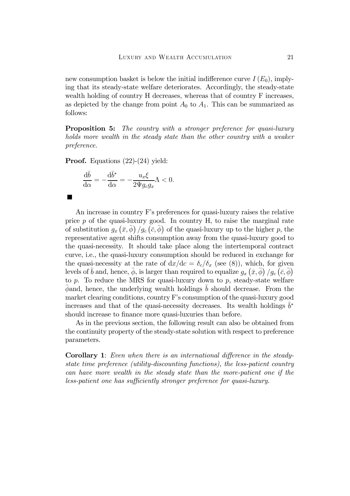new consumption basket is below the initial indifference curve  $I(E_0)$ , implying that its steady-state welfare deteriorates. Accordingly, the steady-state wealth holding of country H decreases, whereas that of country F increases, as depicted by the change from point  $A_0$  to  $A_1$ . This can be summarized as follows:

**Proposition 5:** The country with a stronger preference for quasi-luxury holds more wealth in the steady state than the other country with a weaker preference.

Proof. Equations (22)-(24) yield:

$$
\frac{\mathrm{d}\bar{b}}{\mathrm{d}\alpha} = -\frac{\mathrm{d}\bar{b}^*}{\mathrm{d}\alpha} = -\frac{u_x \xi}{2\Psi g_c g_x} \Lambda < 0.
$$

```
\blacksquare
```
An increase in country F's preferences for quasi-luxury raises the relative price  $p$  of the quasi-luxury good. In country H, to raise the marginal rate of substitution  $g_x(\bar{x}, \bar{\phi})/g_c(\bar{c}, \bar{\phi})$  of the quasi-luxury up to the higher p, the representative agent shifts consumption away from the quasi-luxury good to the quasi-necessity. It should take place along the intertemporal contract curve, i.e., the quasi-luxury consumption should be reduced in exchange for the quasi-necessity at the rate of  $dx/dc = \delta_c/\delta_x$  (see (8)), which, for given levels of  $\bar{b}$  and, hence,  $\bar{\phi}$ , is larger than required to equalize  $g_x\left(\bar{x},\bar{\phi}\right)/g_c\left(\bar{c},\bar{\phi}\right)$ to p. To reduce the MRS for quasi-luxury down to p, steady-state welfare  $\phi$  and, hence, the underlying wealth holdings b should decrease. From the market clearing conditions, country F's consumption of the quasi-luxury good increases and that of the quasi-necessity decreases. Its wealth holdings  $\bar{b}^*$ should increase to finance more quasi-luxuries than before.

As in the previous section, the following result can also be obtained from the continuity property of the steady-state solution with respect to preference parameters.

**Corollary 1:** Even when there is an international difference in the steadystate time preference (utility-discounting functions), the less-patient country can have more wealth in the steady state than the more-patient one if the less-patient one has sufficiently stronger preference for quasi-luxury.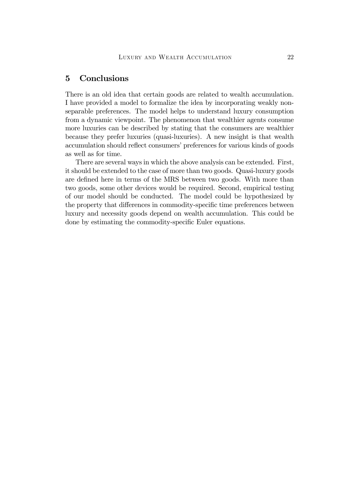## 5 Conclusions

There is an old idea that certain goods are related to wealth accumulation. I have provided a model to formalize the idea by incorporating weakly nonseparable preferences. The model helps to understand luxury consumption from a dynamic viewpoint. The phenomenon that wealthier agents consume more luxuries can be described by stating that the consumers are wealthier because they prefer luxuries (quasi-luxuries). A new insight is that wealth accumulation should reflect consumers' preferences for various kinds of goods as well as for time.

There are several ways in which the above analysis can be extended. First, it should be extended to the case of more than two goods. Quasi-luxury goods are defined here in terms of the MRS between two goods. With more than two goods, some other devices would be required. Second, empirical testing of our model should be conducted. The model could be hypothesized by the property that differences in commodity-specific time preferences between luxury and necessity goods depend on wealth accumulation. This could be done by estimating the commodity-specific Euler equations.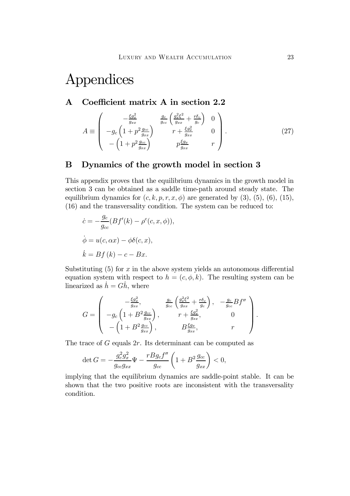# Appendices

## A Coefficient matrix A in section 2.2

$$
A \equiv \begin{pmatrix} -\frac{\xi g_x^2}{g_{xx}} & \frac{g_c}{g_{cc}} \left( \frac{g_x^2 \xi^2}{g_{xx}} + \frac{r \delta_c}{g_c} \right) & 0\\ -g_c \left( 1 + p^2 \frac{g_{cc}}{g_{xx}} \right) & r + \frac{\xi g_x^2}{g_{xx}} & 0\\ -\left( 1 + p^2 \frac{g_{cc}}{g_{xx}} \right) & p \frac{\xi g_x}{g_{xx}} & r \end{pmatrix} . \tag{27}
$$

## B Dynamics of the growth model in section 3

This appendix proves that the equilibrium dynamics in the growth model in section 3 can be obtained as a saddle time-path around steady state. The equilibrium dynamics for  $(c, k, p, r, x, \phi)$  are generated by  $(3)$ ,  $(5)$ ,  $(6)$ ,  $(15)$ , (16) and the transversality condition. The system can be reduced to:

$$
\dot{c} = -\frac{g_c}{g_{cc}}(Bf'(k) - \rho^c(c, x, \phi)),
$$

$$
\dot{\phi} = u(c, \alpha x) - \phi\delta(c, x),
$$

$$
\dot{k} = Bf(k) - c - Bx.
$$

Substituting  $(5)$  for x in the above system yields an autonomous differential equation system with respect to  $h = (c, \phi, k)$ . The resulting system can be linearized as  $h = Gh$ , where

$$
G = \begin{pmatrix} -\frac{\xi g_x^2}{g_{xx}}, & \frac{g_c}{g_{cc}} \left( \frac{g_x^2 \xi^2}{g_{xx}} + \frac{r \delta_c}{g_c} \right), & -\frac{g_c}{g_{cc}} B f'' \\ -g_c \left( 1 + B^2 \frac{g_{cc}}{g_{xx}} \right), & r + \frac{\xi g_x^2}{g_{xx}}, & 0 \\ -\left( 1 + B^2 \frac{g_{cc}}{g_{xx}} \right), & B \frac{\xi g_x}{g_{xx}}, & r \end{pmatrix}.
$$

The trace of  $G$  equals  $2r$ . Its determinant can be computed as

$$
\det G = -\frac{g_c^2 g_x^2}{g_{cc} g_{xx}} \Psi - \frac{r B g_c f''}{g_{cc}} \left( 1 + B^2 \frac{g_{cc}}{g_{xx}} \right) < 0,
$$

implying that the equilibrium dynamics are saddle-point stable. It can be shown that the two positive roots are inconsistent with the transversality condition.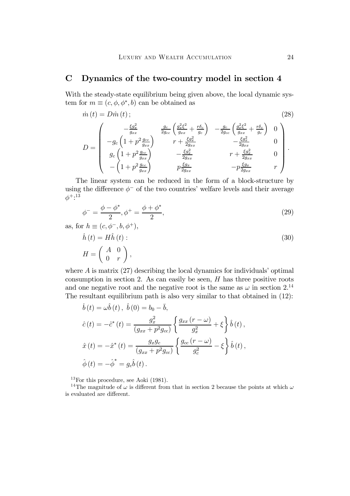## C Dynamics of the two-country model in section 4

With the steady-state equilibrium being given above, the local dynamic system for  $m \equiv (c, \phi, \phi^*, b)$  can be obtained as

$$
\dot{m}(t) = D\hat{m}(t);
$$
\n
$$
D = \begin{pmatrix}\n-\frac{\xi g_x^2}{g_{xx}} & \frac{g_c}{2g_{cc}} \left(\frac{g_x^2 \xi^2}{g_{xx}} + \frac{r \delta_c}{g_c}\right) & -\frac{g_c}{2g_{cc}} \left(\frac{g_x^2 \xi^2}{g_{xx}} + \frac{r \delta_c}{g_c}\right) & 0 \\
-g_c \left(1 + p^2 \frac{g_{cc}}{g_{xx}}\right) & r + \frac{\xi g_x^2}{2g_{xx}} & -\frac{\xi g_x^2}{2g_{xx}} & 0 \\
g_c \left(1 + p^2 \frac{g_{cc}}{g_{xx}}\right) & -\frac{\xi g_x^2}{2g_{xx}} & r + \frac{\xi g_x^2}{2g_{xx}} & 0 \\
-(1 + p^2 \frac{g_{cc}}{g_{xx}}) & p \frac{\xi g_x}{2g_{xx}} & -p \frac{\xi g_x}{2g_{xx}} & r\n\end{pmatrix}.
$$
\n(28)

The linear system can be reduced in the form of a block-structure by using the difference  $\phi^-$  of the two countries' welfare levels and their average  $\phi^{+,13}$ 

$$
\phi^{-} = \frac{\phi - \phi^{*}}{2}, \phi^{+} = \frac{\phi + \phi^{*}}{2}, \tag{29}
$$

as, for  $h \equiv (c, \phi^-, b, \phi^+),$ 

$$
\dot{h}(t) = H\hat{h}(t): \nH = \begin{pmatrix} A & 0 \\ 0 & r \end{pmatrix},
$$
\n(30)

where  $\tilde{A}$  is matrix (27) describing the local dynamics for individuals' optimal consumption in section 2. As can easily be seen,  $H$  has three positive roots and one negative root and the negative root is the same as  $\omega$  in section 2.<sup>14</sup> The resultant equilibrium path is also very similar to that obtained in (12):

$$
\dot{b}(t) = \omega \hat{b}(t), \ \hat{b}(0) = b_0 - \bar{b},
$$
  

$$
\hat{c}(t) = -\hat{c}^*(t) = \frac{g_x^2}{(g_{xx} + p^2 g_{cc})} \left\{ \frac{g_{xx}(r - \omega)}{g_x^2} + \xi \right\} \hat{b}(t),
$$
  

$$
\hat{x}(t) = -\hat{x}^*(t) = \frac{g_x g_c}{(g_{xx} + p^2 g_{cc})} \left\{ \frac{g_{cc}(r - \omega)}{g_c^2} - \xi \right\} \hat{b}(t),
$$
  

$$
\hat{\phi}(t) = -\hat{\phi}^* = g_c \hat{b}(t).
$$

13For this procedure, see Aoki (1981).

<sup>14</sup>The magnitude of  $\omega$  is different from that in section 2 because the points at which  $\omega$ is evaluated are different.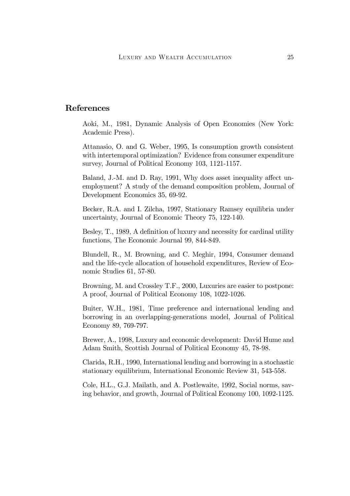## References

Aoki, M., 1981, Dynamic Analysis of Open Economies (New York: Academic Press).

Attanasio, O. and G. Weber, 1995, Is consumption growth consistent with intertemporal optimization? Evidence from consumer expenditure survey, Journal of Political Economy 103, 1121-1157.

Baland, J.-M. and D. Ray, 1991, Why does asset inequality affect unemployment? A study of the demand composition problem, Journal of Development Economics 35, 69-92.

Becker, R.A. and I. Zilcha, 1997, Stationary Ramsey equilibria under uncertainty, Journal of Economic Theory 75, 122-140.

Besley, T., 1989, A definition of luxury and necessity for cardinal utility functions, The Economic Journal 99, 844-849.

Blundell, R., M. Browning, and C. Meghir, 1994, Consumer demand and the life-cycle allocation of household expenditures, Review of Economic Studies 61, 57-80.

Browning, M. and Crossley T.F., 2000, Luxuries are easier to postpone: A proof, Journal of Political Economy 108, 1022-1026.

Buiter, W.H., 1981, Time preference and international lending and borrowing in an overlapping-generations model, Journal of Political Economy 89, 769-797.

Brewer, A., 1998, Luxury and economic development: David Hume and Adam Smith, Scottish Journal of Political Economy 45, 78-98.

Clarida, R.H., 1990, International lending and borrowing in a stochastic stationary equilibrium, International Economic Review 31, 543-558.

Cole, H.L., G.J. Mailath, and A. Postlewaite, 1992, Social norms, saving behavior, and growth, Journal of Political Economy 100, 1092-1125.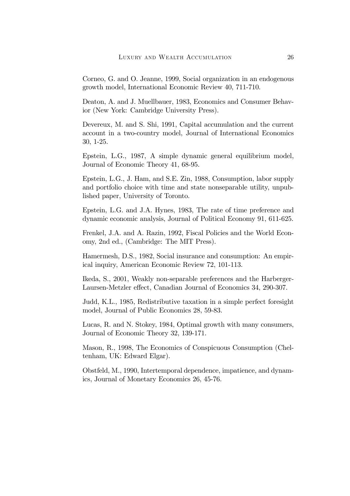Corneo, G. and O. Jeanne, 1999, Social organization in an endogenous growth model, International Economic Review 40, 711-710.

Deaton, A. and J. Muellbauer, 1983, Economics and Consumer Behavior (New York: Cambridge University Press).

Devereux, M. and S. Shi, 1991, Capital accumulation and the current account in a two-country model, Journal of International Economics 30, 1-25.

Epstein, L.G., 1987, A simple dynamic general equilibrium model, Journal of Economic Theory 41, 68-95.

Epstein, L.G., J. Ham, and S.E. Zin, 1988, Consumption, labor supply and portfolio choice with time and state nonseparable utility, unpublished paper, University of Toronto.

Epstein, L.G. and J.A. Hynes, 1983, The rate of time preference and dynamic economic analysis, Journal of Political Economy 91, 611-625.

Frenkel, J.A. and A. Razin, 1992, Fiscal Policies and the World Economy, 2nd ed., (Cambridge: The MIT Press).

Hamermesh, D.S., 1982, Social insurance and consumption: An empirical inquiry, American Economic Review 72, 101-113.

Ikeda, S., 2001, Weakly non-separable preferences and the Harberger-Laursen-Metzler effect, Canadian Journal of Economics 34, 290-307.

Judd, K.L., 1985, Redistributive taxation in a simple perfect foresight model, Journal of Public Economics 28, 59-83.

Lucas, R. and N. Stokey, 1984, Optimal growth with many consumers, Journal of Economic Theory 32, 139-171.

Mason, R., 1998, The Economics of Conspicuous Consumption (Cheltenham, UK: Edward Elgar).

Obstfeld, M., 1990, Intertemporal dependence, impatience, and dynamics, Journal of Monetary Economics 26, 45-76.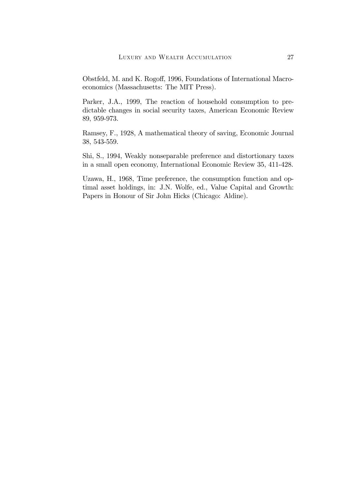Obstfeld, M. and K. Rogoff, 1996, Foundations of International Macroeconomics (Massachusetts: The MIT Press).

Parker, J.A., 1999, The reaction of household consumption to predictable changes in social security taxes, American Economic Review 89, 959-973.

Ramsey, F., 1928, A mathematical theory of saving, Economic Journal 38, 543-559.

Shi, S., 1994, Weakly nonseparable preference and distortionary taxes in a small open economy, International Economic Review 35, 411-428.

Uzawa, H., 1968, Time preference, the consumption function and optimal asset holdings, in: J.N. Wolfe, ed., Value Capital and Growth: Papers in Honour of Sir John Hicks (Chicago: Aldine).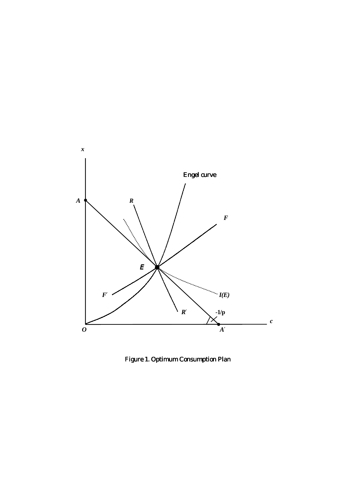

Figure 1. Optimum Consumption Plan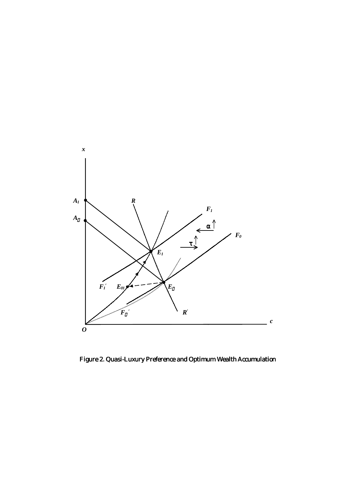

Figure 2. Quasi-Luxury Preference and Optimum Wealth Accumulation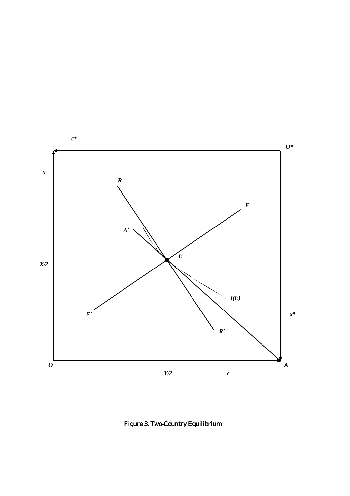

Figure 3. Two-Country Equilibrium